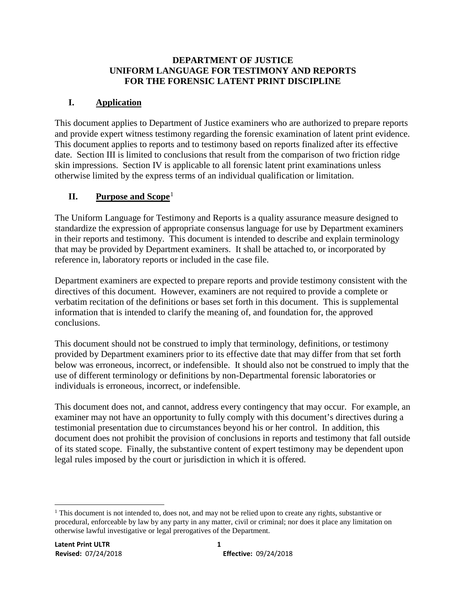#### **DEPARTMENT OF JUSTICE UNIFORM LANGUAGE FOR TESTIMONY AND REPORTS FOR THE FORENSIC LATENT PRINT DISCIPLINE**

# **I. Application**

This document applies to Department of Justice examiners who are authorized to prepare reports and provide expert witness testimony regarding the forensic examination of latent print evidence. This document applies to reports and to testimony based on reports finalized after its effective date. Section III is limited to conclusions that result from the comparison of two friction ridge skin impressions. Section IV is applicable to all forensic latent print examinations unless otherwise limited by the express terms of an individual qualification or limitation.

# **II. Purpose and Scope**<sup>[1](#page-0-0)</sup>

The Uniform Language for Testimony and Reports is a quality assurance measure designed to standardize the expression of appropriate consensus language for use by Department examiners in their reports and testimony. This document is intended to describe and explain terminology that may be provided by Department examiners. It shall be attached to, or incorporated by reference in, laboratory reports or included in the case file.

Department examiners are expected to prepare reports and provide testimony consistent with the directives of this document. However, examiners are not required to provide a complete or verbatim recitation of the definitions or bases set forth in this document. This is supplemental information that is intended to clarify the meaning of, and foundation for, the approved conclusions.

This document should not be construed to imply that terminology, definitions, or testimony provided by Department examiners prior to its effective date that may differ from that set forth below was erroneous, incorrect, or indefensible. It should also not be construed to imply that the use of different terminology or definitions by non-Departmental forensic laboratories or individuals is erroneous, incorrect, or indefensible.

This document does not, and cannot, address every contingency that may occur. For example, an examiner may not have an opportunity to fully comply with this document's directives during a testimonial presentation due to circumstances beyond his or her control. In addition, this document does not prohibit the provision of conclusions in reports and testimony that fall outside of its stated scope. Finally, the substantive content of expert testimony may be dependent upon legal rules imposed by the court or jurisdiction in which it is offered.

<span id="page-0-0"></span>Ξ <sup>1</sup> This document is not intended to, does not, and may not be relied upon to create any rights, substantive or procedural, enforceable by law by any party in any matter, civil or criminal; nor does it place any limitation on otherwise lawful investigative or legal prerogatives of the Department.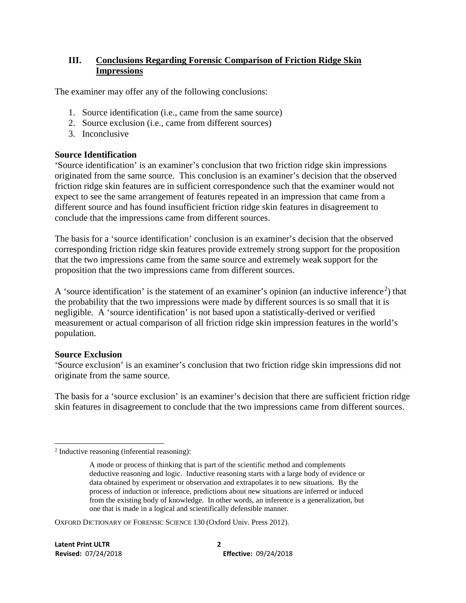### **III. Conclusions Regarding Forensic Comparison of Friction Ridge Skin Impressions**

The examiner may offer any of the following conclusions:

- 1. Source identification (i.e., came from the same source)
- 2. Source exclusion (i.e., came from different sources)
- 3. Inconclusive

### **Source Identification**

'Source identification' is an examiner's conclusion that two friction ridge skin impressions originated from the same source. This conclusion is an examiner's decision that the observed friction ridge skin features are in sufficient correspondence such that the examiner would not expect to see the same arrangement of features repeated in an impression that came from a different source and has found insufficient friction ridge skin features in disagreement to conclude that the impressions came from different sources.

The basis for a 'source identification' conclusion is an examiner's decision that the observed corresponding friction ridge skin features provide extremely strong support for the proposition that the two impressions came from the same source and extremely weak support for the proposition that the two impressions came from different sources.

A 'source identification' is the statement of an examiner's opinion (an inductive inference<sup>[2](#page-1-0)</sup>) that the probability that the two impressions were made by different sources is so small that it is negligible. A 'source identification' is not based upon a statistically-derived or verified measurement or actual comparison of all friction ridge skin impression features in the world's population.

#### **Source Exclusion**

'Source exclusion' is an examiner's conclusion that two friction ridge skin impressions did not originate from the same source.

The basis for a 'source exclusion' is an examiner's decision that there are sufficient friction ridge skin features in disagreement to conclude that the two impressions came from different sources.

OXFORD DICTIONARY OF FORENSIC SCIENCE 130 (Oxford Univ. Press 2012).

<span id="page-1-0"></span>Ĩ  $2$  Inductive reasoning (inferential reasoning):

A mode or process of thinking that is part of the scientific method and complements deductive reasoning and logic. Inductive reasoning starts with a large body of evidence or data obtained by experiment or observation and extrapolates it to new situations. By the process of induction or inference, predictions about new situations are inferred or induced from the existing body of knowledge. In other words, an inference is a generalization, but one that is made in a logical and scientifically defensible manner.